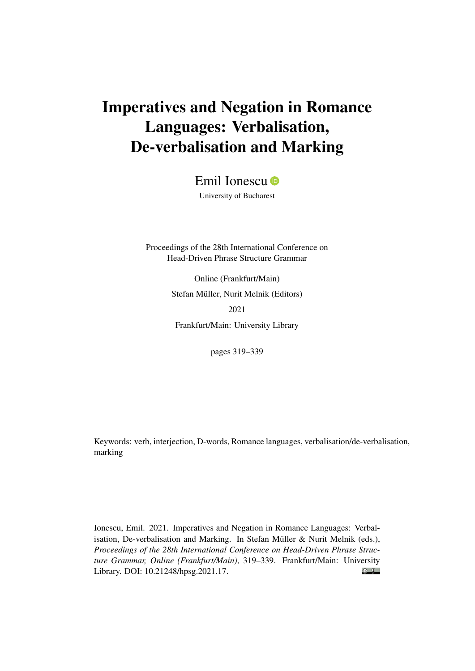# Imperatives and Negation in Romance Languages: Verbalisation, De-verbalisation and Marking

Emil Ionescu<sup>®</sup>

University of Bucharest

Proceedings of the 28th International Conference on Head-Driven Phrase Structure Grammar

> Online (Frankfurt/Main) Stefan Müller, Nurit Melnik (Editors) 2021 Frankfurt/Main: University Library

> > pages 319–339

Keywords: verb, interjection, D-words, Romance languages, verbalisation/de-verbalisation, marking

Ionescu, Emil. 2021. Imperatives and Negation in Romance Languages: Verbalisation, De-verbalisation and Marking. In Stefan Müller & Nurit Melnik (eds.), *Proceedings of the 28th International Conference on Head-Driven Phrase Structure Grammar, Online (Frankfurt/Main)*, 319–339. Frankfurt/Main: University  $\odot$   $\odot$ Library. DOI: [10.21248/hpsg.2021.17.](http://doi.org/10.21248/hpsg.2021.17)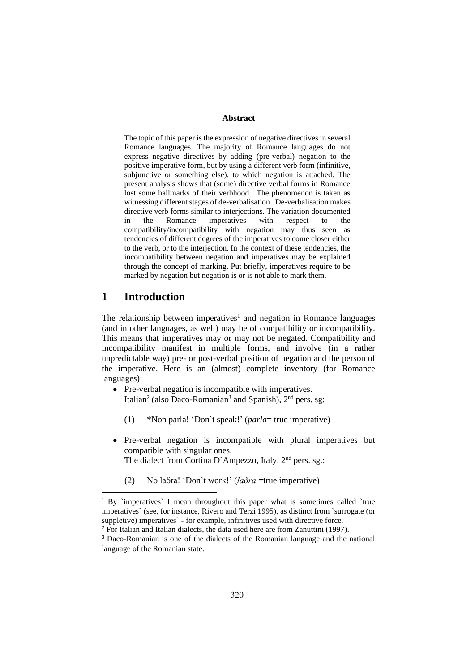## **Abstract**

The topic of this paper is the expression of negative directives in several Romance languages. The majority of Romance languages do not express negative directives by adding (pre-verbal) negation to the positive imperative form, but by using a different verb form (infinitive, subjunctive or something else), to which negation is attached. The present analysis shows that (some) directive verbal forms in Romance lost some hallmarks of their verbhood. The phenomenon is taken as witnessing different stages of de-verbalisation. De-verbalisation makes directive verb forms similar to interjections. The variation documented in the Romance imperatives with respect to the compatibility/incompatibility with negation may thus seen as tendencies of different degrees of the imperatives to come closer either to the verb, or to the interjection. In the context of these tendencies, the incompatibility between negation and imperatives may be explained through the concept of marking. Put briefly, imperatives require to be marked by negation but negation is or is not able to mark them.

## **1 Introduction**

The relationship between imperatives<sup>1</sup> and negation in Romance languages (and in other languages, as well) may be of compatibility or incompatibility. This means that imperatives may or may not be negated. Compatibility and incompatibility manifest in multiple forms, and involve (in a rather unpredictable way) pre- or post-verbal position of negation and the person of the imperative. Here is an (almost) complete inventory (for Romance languages):

- Pre-verbal negation is incompatible with imperatives. Italian<sup>2</sup> (also Daco-Romanian<sup>3</sup> and Spanish), 2<sup>nd</sup> pers. sg:
	- (1) \*Non parla! 'Don`t speak!' (*parla*= true imperative)
- Pre-verbal negation is incompatible with plural imperatives but compatible with singular ones. The dialect from Cortina D`Ampezzo, Italy, 2<sup>nd</sup> pers. sg.:
	- (2) No laőra! 'Don`t work!' (*laőra* =true imperative)

<sup>&</sup>lt;sup>1</sup> By `imperatives` I mean throughout this paper what is sometimes called `true imperatives` (see, for instance, Rivero and Terzi 1995), as distinct from `surrogate (or suppletive) imperatives` - for example, infinitives used with directive force.

<sup>&</sup>lt;sup>2</sup> For Italian and Italian dialects, the data used here are from Zanuttini (1997).

<sup>3</sup> Daco-Romanian is one of the dialects of the Romanian language and the national language of the Romanian state.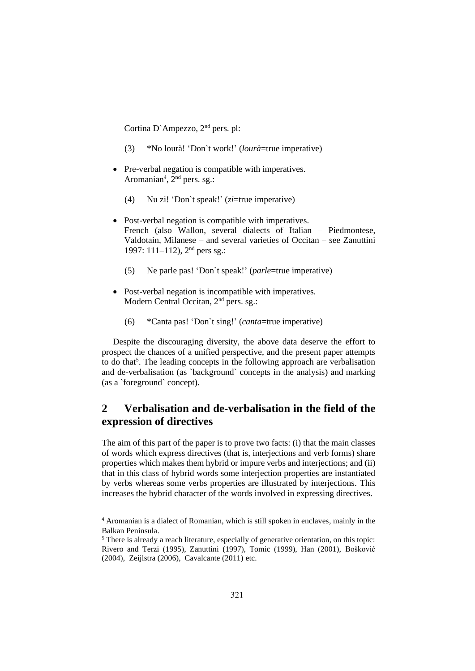Cortina D`Ampezzo, 2nd pers. pl:

- (3) \*No lourà! 'Don`t work!' (*lourà*=true imperative)
- Pre-verbal negation is compatible with imperatives. Aromanian<sup>4</sup>,  $2<sup>nd</sup>$  pers. sg.:
	- (4) Nu zi! 'Don`t speak!' (*zi*=true imperative)
- Post-verbal negation is compatible with imperatives. French (also Wallon, several dialects of Italian – Piedmontese, Valdotain, Milanese – and several varieties of Occitan – see Zanuttini 1997: 111–112), 2nd pers sg.:
	- (5) Ne parle pas! 'Don`t speak!' (*parle*=true imperative)
- Post-verbal negation is incompatible with imperatives. Modern Central Occitan, 2nd pers. sg.:
	- (6) \*Canta pas! 'Don`t sing!' (*canta*=true imperative)

Despite the discouraging diversity, the above data deserve the effort to prospect the chances of a unified perspective, and the present paper attempts to do that<sup>5</sup>. The leading concepts in the following approach are verbalisation and de-verbalisation (as `background` concepts in the analysis) and marking (as a `foreground` concept).

# **2 Verbalisation and de-verbalisation in the field of the expression of directives**

The aim of this part of the paper is to prove two facts: (i) that the main classes of words which express directives (that is, interjections and verb forms) share properties which makes them hybrid or impure verbs and interjections; and (ii) that in this class of hybrid words some interjection properties are instantiated by verbs whereas some verbs properties are illustrated by interjections. This increases the hybrid character of the words involved in expressing directives.

<sup>4</sup> Aromanian is a dialect of Romanian, which is still spoken in enclaves, mainly in the Balkan Peninsula.

<sup>&</sup>lt;sup>5</sup> There is already a reach literature, especially of generative orientation, on this topic: Rivero and Terzi (1995), Zanuttini (1997), Tomic (1999), Han (2001), Bošković (2004), Zeijlstra (2006), Cavalcante (2011) etc.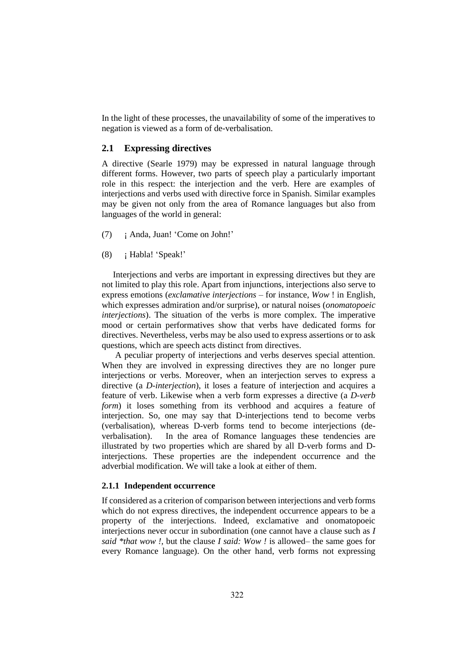In the light of these processes, the unavailability of some of the imperatives to negation is viewed as a form of de-verbalisation.

## **2.1 Expressing directives**

A directive (Searle 1979) may be expressed in natural language through different forms. However, two parts of speech play a particularly important role in this respect: the interjection and the verb. Here are examples of interjections and verbs used with directive force in Spanish. Similar examples may be given not only from the area of Romance languages but also from languages of the world in general:

- (7) ¡ Anda, Juan! 'Come on John!'
- (8) ¡ Habla! 'Speak!'

Interjections and verbs are important in expressing directives but they are not limited to play this role. Apart from injunctions, interjections also serve to express emotions (*exclamative interjections* – for instance, *Wow* ! in English, which expresses admiration and/or surprise), or natural noises (*onomatopoeic interjections*). The situation of the verbs is more complex. The imperative mood or certain performatives show that verbs have dedicated forms for directives. Nevertheless, verbs may be also used to express assertions or to ask questions, which are speech acts distinct from directives.

A peculiar property of interjections and verbs deserves special attention. When they are involved in expressing directives they are no longer pure interjections or verbs. Moreover, when an interjection serves to express a directive (a *D-interjection*), it loses a feature of interjection and acquires a feature of verb. Likewise when a verb form expresses a directive (a *D-verb form*) it loses something from its verbhood and acquires a feature of interjection. So, one may say that D-interjections tend to become verbs (verbalisation), whereas D-verb forms tend to become interjections (deverbalisation). In the area of Romance languages these tendencies are illustrated by two properties which are shared by all D-verb forms and Dinterjections. These properties are the independent occurrence and the adverbial modification. We will take a look at either of them.

#### **2.1.1 Independent occurrence**

If considered as a criterion of comparison between interjections and verb forms which do not express directives, the independent occurrence appears to be a property of the interjections. Indeed, exclamative and onomatopoeic interjections never occur in subordination (one cannot have a clause such as *I said \*that wow !,* but the clause *I said: Wow !* is allowed– the same goes for every Romance language). On the other hand, verb forms not expressing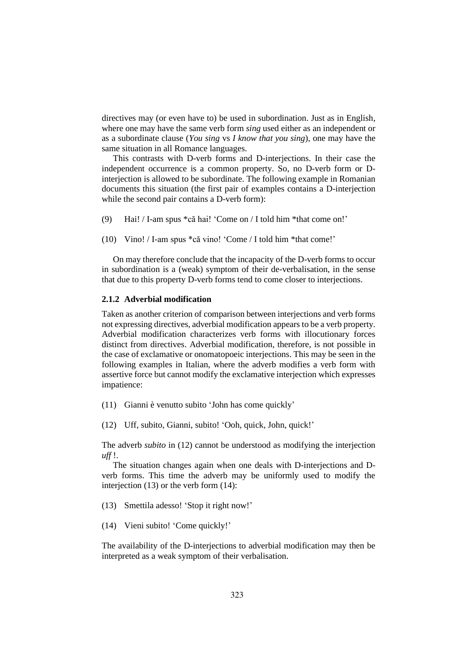directives may (or even have to) be used in subordination. Just as in English, where one may have the same verb form *sing* used either as an independent or as a subordinate clause (*You sing* vs *I know that you sing*), one may have the same situation in all Romance languages.

This contrasts with D-verb forms and D-interjections. In their case the independent occurrence is a common property. So, no D-verb form or Dinterjection is allowed to be subordinate. The following example in Romanian documents this situation (the first pair of examples contains a D-interjection while the second pair contains a D-verb form):

- (9) Hai! / I-am spus \*că hai! 'Come on / I told him \*that come on!'
- (10) Vino! / I-am spus \*că vino! 'Come / I told him \*that come!'

On may therefore conclude that the incapacity of the D-verb forms to occur in subordination is a (weak) symptom of their de-verbalisation, in the sense that due to this property D-verb forms tend to come closer to interjections.

#### **2.1.2 Adverbial modification**

Taken as another criterion of comparison between interjections and verb forms not expressing directives, adverbial modification appears to be a verb property. Adverbial modification characterizes verb forms with illocutionary forces distinct from directives. Adverbial modification, therefore, is not possible in the case of exclamative or onomatopoeic interjections. This may be seen in the following examples in Italian, where the adverb modifies a verb form with assertive force but cannot modify the exclamative interjection which expresses impatience:

(11) Gianni è venutto subito 'John has come quickly'

(12) Uff, subito, Gianni, subito! 'Ooh, quick, John, quick!'

The adverb *subito* in (12) cannot be understood as modifying the interjection *uff* !.

The situation changes again when one deals with D-interjections and Dverb forms. This time the adverb may be uniformly used to modify the interjection  $(13)$  or the verb form  $(14)$ :

(13) Smettila adesso! 'Stop it right now!'

(14) Vieni subito! 'Come quickly!'

The availability of the D-interjections to adverbial modification may then be interpreted as a weak symptom of their verbalisation.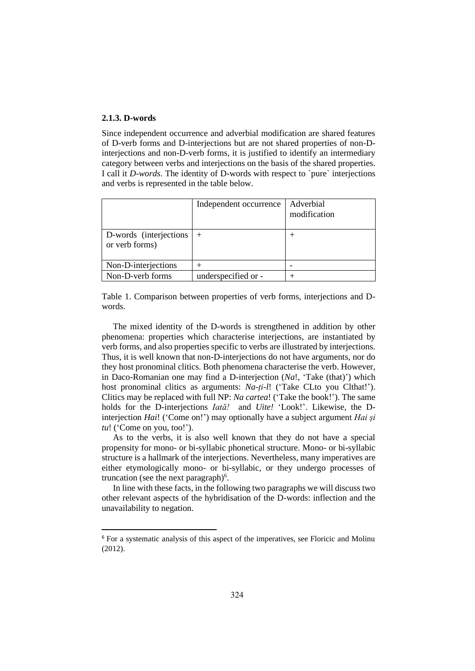## **2.1.3. D-words**

Since independent occurrence and adverbial modification are shared features of D-verb forms and D-interjections but are not shared properties of non-Dinterjections and non-D-verb forms, it is justified to identify an intermediary category between verbs and interjections on the basis of the shared properties. I call it *D-words*. The identity of D-words with respect to `pure` interjections and verbs is represented in the table below.

|                                           | Independent occurrence | Adverbial<br>modification |
|-------------------------------------------|------------------------|---------------------------|
| D-words (interjections)<br>or verb forms) | $+$                    | +                         |
| Non-D-interjections                       | $^{+}$                 |                           |
| Non-D-verb forms                          | underspecified or -    |                           |

Table 1. Comparison between properties of verb forms, interjections and Dwords.

The mixed identity of the D-words is strengthened in addition by other phenomena: properties which characterise interjections, are instantiated by verb forms, and also properties specific to verbs are illustrated by interjections. Thus, it is well known that non-D-interjections do not have arguments, nor do they host pronominal clitics. Both phenomena characterise the verb. However, in Daco-Romanian one may find a D-interjection (*Na*!, 'Take (that)') which host pronominal clitics as arguments: *Na-ți-l*! ('Take CLto you Clthat!'). Clitics may be replaced with full NP: *Na cartea*! ('Take the book!'). The same holds for the D-interjections *Iată!* and *Uite!* 'Look!'. Likewise, the Dinterjection *Hai*! ('Come on!') may optionally have a subject argument *Hai și tu*! ('Come on you, too!').

As to the verbs, it is also well known that they do not have a special propensity for mono- or bi-syllabic phonetical structure. Mono- or bi-syllabic structure is a hallmark of the interjections. Nevertheless, many imperatives are either etymologically mono- or bi-syllabic, or they undergo processes of truncation (see the next paragraph) $6$ .

In line with these facts, in the following two paragraphs we will discuss two other relevant aspects of the hybridisation of the D-words: inflection and the unavailability to negation.

<sup>6</sup> For a systematic analysis of this aspect of the imperatives, see Floricic and Molinu (2012).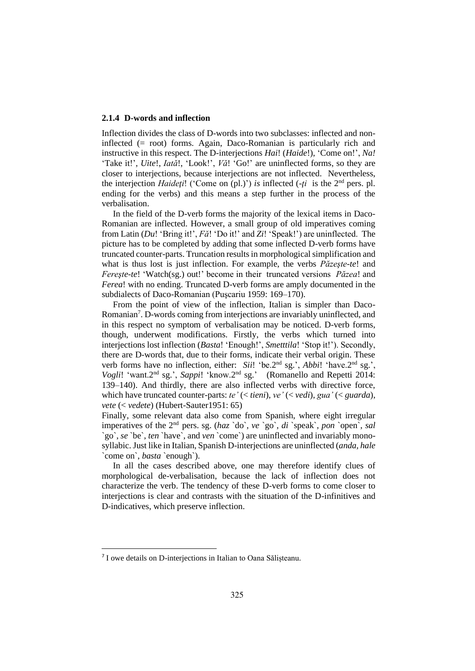#### **2.1.4 D-words and inflection**

Inflection divides the class of D-words into two subclasses: inflected and noninflected (= root) forms. Again, Daco-Romanian is particularly rich and instructive in this respect. The D-interjections *Hai*! (*Haide*!), 'Come on!', *Na!* 'Take it!', *Uite*!, *Iată*!, 'Look!', *Vă*! 'Go!' are uninflected forms, so they are closer to interjections, because interjections are not inflected. Nevertheless, the interjection *Haideţi*! ('Come on (pl.)') *is* inflected (-*ţi* is the 2nd pers. pl. ending for the verbs) and this means a step further in the process of the verbalisation.

In the field of the D-verb forms the majority of the lexical items in Daco-Romanian are inflected. However, a small group of old imperatives coming from Latin (*Du*! 'Bring it!', *Fă*! 'Do it!' and *Zi*! 'Speak!') are uninflected. The picture has to be completed by adding that some inflected D-verb forms have truncated counter-parts. Truncation results in morphological simplification and what is thus lost is just inflection. For example, the verbs *Păzeşte-te*! and *Fereşte-te*! 'Watch(sg.) out!' become in their truncated versions *Păzea*! and *Ferea*! with no ending. Truncated D-verb forms are amply documented in the subdialects of Daco-Romanian (Puşcariu 1959: 169–170).

From the point of view of the inflection, Italian is simpler than Daco-Romanian<sup>7</sup>. D-words coming from interjections are invariably uninflected, and in this respect no symptom of verbalisation may be noticed. D-verb forms, though, underwent modifications. Firstly, the verbs which turned into interjections lost inflection (*Basta*! 'Enough!', *Smetttila*! 'Stop it!'). Secondly, there are D-words that, due to their forms, indicate their verbal origin. These verb forms have no inflection, either: *Sii*! 'be.2<sup>nd</sup> sg.', *Abbi*! 'have.2<sup>nd</sup> sg.', Vogli! 'want.2<sup>nd</sup> sg.', *Sappi*! 'know.2<sup>nd</sup> sg.' (Romanello and Repetti 2014: 139–140). And thirdly, there are also inflected verbs with directive force, which have truncated counter-parts: *te'* (< *tieni*), *ve'* (< *vedi*), *gua'* (< *guarda*), *vete* (< *vedete*) (Hubert-Sauter1951: 65)

Finally, some relevant data also come from Spanish, where eight irregular imperatives of the 2nd pers. sg. (*haz* `do`, *ve* `go`, *di* `speak`, *pon* `open`, *sal* `go`, *se* `be`, *ten* `have`, and *ven* `come`) are uninflected and invariably monosyllabic. Just like in Italian, Spanish D-interjections are uninflected (*anda, hale* `come on`, *basta* `enough`).

In all the cases described above, one may therefore identify clues of morphological de-verbalisation, because the lack of inflection does not characterize the verb. The tendency of these D-verb forms to come closer to interjections is clear and contrasts with the situation of the D-infinitives and D-indicatives, which preserve inflection.

<sup>7</sup> I owe details on D-interjections in Italian to Oana Sălișteanu.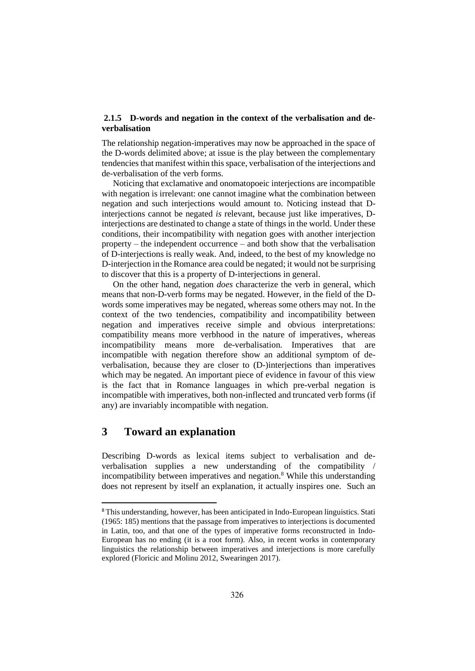## **2.1.5 D-words and negation in the context of the verbalisation and deverbalisation**

The relationship negation-imperatives may now be approached in the space of the D-words delimited above; at issue is the play between the complementary tendenciesthat manifest within this space, verbalisation of the interjections and de-verbalisation of the verb forms.

Noticing that exclamative and onomatopoeic interjections are incompatible with negation is irrelevant: one cannot imagine what the combination between negation and such interjections would amount to. Noticing instead that Dinterjections cannot be negated *is* relevant, because just like imperatives, Dinterjections are destinated to change a state of things in the world. Under these conditions, their incompatibility with negation goes with another interjection property – the independent occurrence – and both show that the verbalisation of D-interjections is really weak. And, indeed, to the best of my knowledge no D-interjection in the Romance area could be negated; it would not be surprising to discover that this is a property of D-interjections in general.

On the other hand, negation *does* characterize the verb in general, which means that non-D-verb forms may be negated. However, in the field of the Dwords some imperatives may be negated, whereas some others may not. In the context of the two tendencies, compatibility and incompatibility between negation and imperatives receive simple and obvious interpretations: compatibility means more verbhood in the nature of imperatives, whereas incompatibility means more de-verbalisation. Imperatives that are incompatible with negation therefore show an additional symptom of deverbalisation, because they are closer to (D-)interjections than imperatives which may be negated. An important piece of evidence in favour of this view is the fact that in Romance languages in which pre-verbal negation is incompatible with imperatives, both non-inflected and truncated verb forms (if any) are invariably incompatible with negation.

# **3 Toward an explanation**

Describing D-words as lexical items subject to verbalisation and deverbalisation supplies a new understanding of the compatibility / incompatibility between imperatives and negation.<sup>8</sup> While this understanding does not represent by itself an explanation, it actually inspires one. Such an

<sup>8</sup> This understanding, however, has been anticipated in Indo-European linguistics. Stati (1965: 185) mentions that the passage from imperatives to interjections is documented in Latin, too, and that one of the types of imperative forms reconstructed in Indo-European has no ending (it is a root form). Also, in recent works in contemporary linguistics the relationship between imperatives and interjections is more carefully explored (Floricic and Molinu 2012, Swearingen 2017).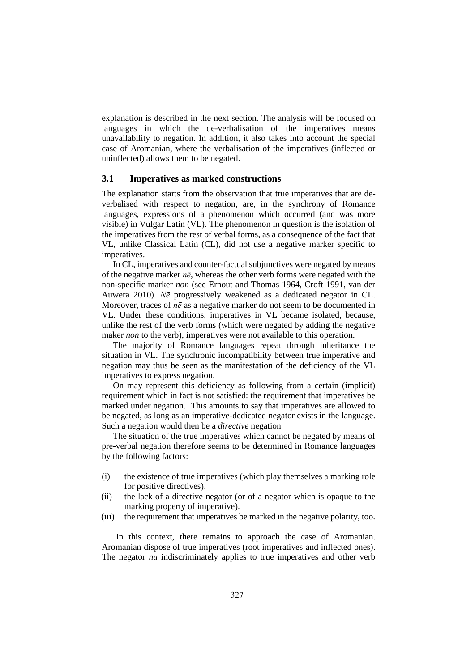explanation is described in the next section. The analysis will be focused on languages in which the de-verbalisation of the imperatives means unavailability to negation. In addition, it also takes into account the special case of Aromanian, where the verbalisation of the imperatives (inflected or uninflected) allows them to be negated.

## **3.1 Imperatives as marked constructions**

The explanation starts from the observation that true imperatives that are deverbalised with respect to negation, are, in the synchrony of Romance languages, expressions of a phenomenon which occurred (and was more visible) in Vulgar Latin (VL). The phenomenon in question is the isolation of the imperatives from the rest of verbal forms, as a consequence of the fact that VL, unlike Classical Latin (CL), did not use a negative marker specific to imperatives.

In CL, imperatives and counter-factual subjunctives were negated by means of the negative marker *nē*, whereas the other verb forms were negated with the non-specific marker *non* (see Ernout and Thomas 1964, Croft 1991, van der Auwera 2010). *Nē* progressively weakened as a dedicated negator in CL. Moreover, traces of *nē* as a negative marker do not seem to be documented in VL. Under these conditions, imperatives in VL became isolated, because, unlike the rest of the verb forms (which were negated by adding the negative maker *non* to the verb), imperatives were not available to this operation.

The majority of Romance languages repeat through inheritance the situation in VL. The synchronic incompatibility between true imperative and negation may thus be seen as the manifestation of the deficiency of the VL imperatives to express negation.

On may represent this deficiency as following from a certain (implicit) requirement which in fact is not satisfied: the requirement that imperatives be marked under negation. This amounts to say that imperatives are allowed to be negated, as long as an imperative-dedicated negator exists in the language. Such a negation would then be a *directive* negation

The situation of the true imperatives which cannot be negated by means of pre-verbal negation therefore seems to be determined in Romance languages by the following factors:

- (i) the existence of true imperatives (which play themselves a marking role for positive directives).
- (ii) the lack of a directive negator (or of a negator which is opaque to the marking property of imperative).
- (iii) the requirement that imperatives be marked in the negative polarity, too.

In this context, there remains to approach the case of Aromanian. Aromanian dispose of true imperatives (root imperatives and inflected ones). The negator *nu* indiscriminately applies to true imperatives and other verb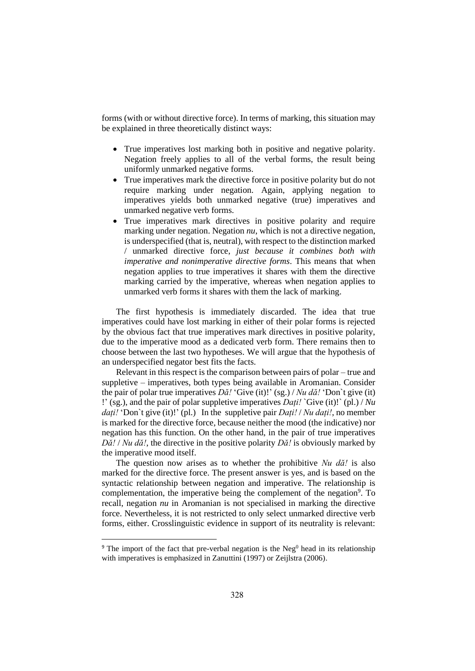forms (with or without directive force). In terms of marking, this situation may be explained in three theoretically distinct ways:

- True imperatives lost marking both in positive and negative polarity. Negation freely applies to all of the verbal forms, the result being uniformly unmarked negative forms.
- True imperatives mark the directive force in positive polarity but do not require marking under negation. Again, applying negation to imperatives yields both unmarked negative (true) imperatives and unmarked negative verb forms.
- True imperatives mark directives in positive polarity and require marking under negation. Negation *nu*, which is not a directive negation, is underspecified (that is, neutral), with respect to the distinction marked / unmarked directive force, *just because it combines both with imperative and nonimperative directive forms*. This means that when negation applies to true imperatives it shares with them the directive marking carried by the imperative, whereas when negation applies to unmarked verb forms it shares with them the lack of marking.

The first hypothesis is immediately discarded. The idea that true imperatives could have lost marking in either of their polar forms is rejected by the obvious fact that true imperatives mark directives in positive polarity, due to the imperative mood as a dedicated verb form. There remains then to choose between the last two hypotheses. We will argue that the hypothesis of an underspecified negator best fits the facts.

Relevant in this respect is the comparison between pairs of polar – true and suppletive – imperatives, both types being available in Aromanian. Consider the pair of polar true imperatives *Dă!* 'Give (it)!' (sg.) / *Nu dă!* 'Don`t give (it) !' (sg.), and the pair of polar suppletive imperatives *Dați!* `Give (it)!` (pl.) / *Nu dați!* 'Don`t give (it)!' (pl.) In the suppletive pair *Dați!* / *Nu dați!*, no member is marked for the directive force, because neither the mood (the indicative) nor negation has this function. On the other hand, in the pair of true imperatives *Dă!* / *Nu dă!*, the directive in the positive polarity *Dă!* is obviously marked by the imperative mood itself.

The question now arises as to whether the prohibitive *Nu dă!* is also marked for the directive force. The present answer is yes, and is based on the syntactic relationship between negation and imperative. The relationship is complementation, the imperative being the complement of the negation<sup>9</sup>. To recall, negation *nu* in Aromanian is not specialised in marking the directive force. Nevertheless, it is not restricted to only select unmarked directive verb forms, either. Crosslinguistic evidence in support of its neutrality is relevant:

<sup>&</sup>lt;sup>9</sup> The import of the fact that pre-verbal negation is the Neg<sup>0</sup> head in its relationship with imperatives is emphasized in Zanuttini (1997) or Zeijlstra (2006).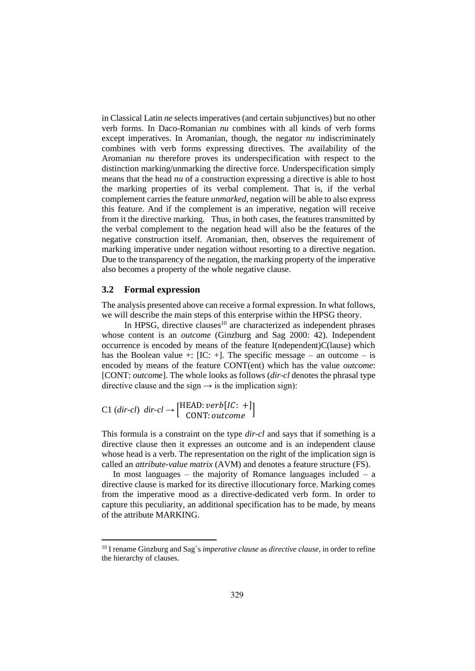in Classical Latin *ne* selects imperatives (and certain subjunctives) but no other verb forms. In Daco-Romanian *nu* combines with all kinds of verb forms except imperatives. In Aromanian, though, the negator *nu* indiscriminately combines with verb forms expressing directives. The availability of the Aromanian *nu* therefore proves its underspecification with respect to the distinction marking/unmarking the directive force. Underspecification simply means that the head *nu* of a construction expressing a directive is able to host the marking properties of its verbal complement. That is, if the verbal complement carries the feature *unmarked*, negation will be able to also express this feature. And if the complement is an imperative, negation will receive from it the directive marking. Thus, in both cases, the features transmitted by the verbal complement to the negation head will also be the features of the negative construction itself. Aromanian, then, observes the requirement of marking imperative under negation without resorting to a directive negation. Due to the transparency of the negation, the marking property of the imperative also becomes a property of the whole negative clause.

#### **3.2 Formal expression**

The analysis presented above can receive a formal expression. In what follows, we will describe the main steps of this enterprise within the HPSG theory.

In HPSG, directive clauses $10$  are characterized as independent phrases whose content is an *outcome* (Ginzburg and Sag 2000: 42). Independent occurrence is encoded by means of the feature I(ndependent)C(lause) which has the Boolean value +:  $[IC: +]$ . The specific message – an outcome – is encoded by means of the feature CONT(ent) which has the value *outcome*: [CONT: *outcome*]. The whole looks as follows (*dir-cl* denotes the phrasal type directive clause and the sign  $\rightarrow$  is the implication sign):

$$
C1 (dir-cl) dir-cl \rightarrow [HEAD: verb[IC: +]
$$

$$
CONF: outcome
$$

This formula is a constraint on the type *dir-cl* and says that if something is a directive clause then it expresses an outcome and is an independent clause whose head is a verb. The representation on the right of the implication sign is called an *attribute-value matrix* (AVM) and denotes a feature structure (FS).

In most languages – the majority of Romance languages included – a directive clause is marked for its directive illocutionary force. Marking comes from the imperative mood as a directive-dedicated verb form. In order to capture this peculiarity, an additional specification has to be made, by means of the attribute MARKING.

<sup>10</sup> I rename Ginzburg and Sag`s *imperative clause* as *directive clause*, in order to refine the hierarchy of clauses.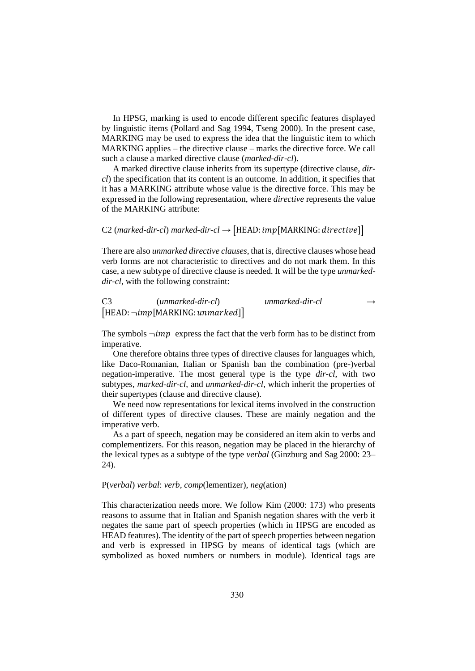In HPSG, marking is used to encode different specific features displayed by linguistic items (Pollard and Sag 1994, Tseng 2000). In the present case, MARKING may be used to express the idea that the linguistic item to which MARKING applies – the directive clause – marks the directive force. We call such a clause a marked directive clause (*marked-dir-cl*).

A marked directive clause inherits from its supertype (directive clause, *dircl*) the specification that its content is an outcome. In addition, it specifies that it has a MARKING attribute whose value is the directive force. This may be expressed in the following representation, where *directive* represents the value of the MARKING attribute:

## C2 (*marked-dir-cl*) *marked-dir-cl*  $\rightarrow$  [HEAD: *imp* [MARKING: *directive*]]

There are also *unmarked directive clauses*, that is, directive clauses whose head verb forms are not characteristic to directives and do not mark them. In this case, a new subtype of directive clause is needed. It will be the type *unmarkeddir-cl*, with the following constraint:

|                                       | C <sub>3</sub><br>$(unmarked-dir-cl)$ | unmarked-dir-cl | $\rightarrow$ |
|---------------------------------------|---------------------------------------|-----------------|---------------|
| $[HEAD: \neg imp[MARKING: unmarked]]$ |                                       |                 |               |

The symbols  $\neg imp$  express the fact that the verb form has to be distinct from imperative.

One therefore obtains three types of directive clauses for languages which, like Daco-Romanian, Italian or Spanish ban the combination (pre-)verbal negation-imperative. The most general type is the type *dir-cl*, with two subtypes, *marked-dir-cl*, and *unmarked-dir-cl*, which inherit the properties of their supertypes (clause and directive clause).

We need now representations for lexical items involved in the construction of different types of directive clauses. These are mainly negation and the imperative verb.

As a part of speech, negation may be considered an item akin to verbs and complementizers. For this reason, negation may be placed in the hierarchy of the lexical types as a subtype of the type *verbal* (Ginzburg and Sag 2000: 23– 24).

#### P(*verbal*) *verbal*: *verb*, *comp*(lementizer), *neg*(ation)

This characterization needs more. We follow Kim (2000: 173) who presents reasons to assume that in Italian and Spanish negation shares with the verb it negates the same part of speech properties (which in HPSG are encoded as HEAD features). The identity of the part of speech properties between negation and verb is expressed in HPSG by means of identical tags (which are symbolized as boxed numbers or numbers in module). Identical tags are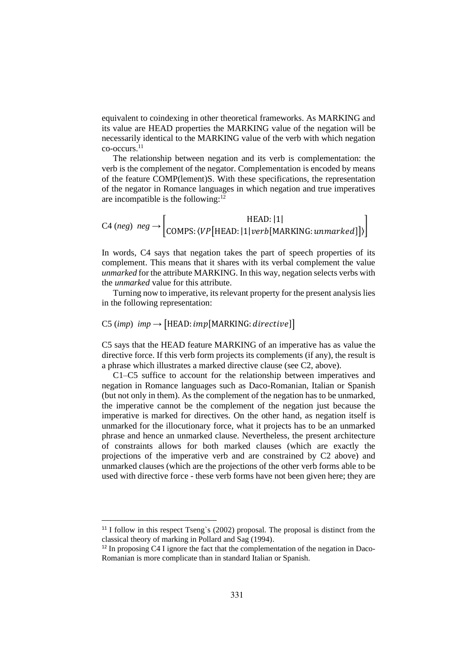equivalent to coindexing in other theoretical frameworks. As MARKING and its value are HEAD properties the MARKING value of the negation will be necessarily identical to the MARKING value of the verb with which negation co-occurs.<sup>11</sup>

The relationship between negation and its verb is complementation: the verb is the complement of the negator. Complementation is encoded by means of the feature COMP(lement)S. With these specifications, the representation of the negator in Romance languages in which negation and true imperatives are incompatible is the following: $12$ 

$$
C4 \ (neg) \ \ neg \rightarrow \begin{bmatrix} \text{HEAD}: |1| \\ \text{COMPS}: \langle VP[\text{HEAD}: |1| \text{verb[MARKING}: \text{unmarked}]] \rangle \end{bmatrix}
$$

In words, C4 says that negation takes the part of speech properties of its complement. This means that it shares with its verbal complement the value *unmarked* for the attribute MARKING. In this way, negation selects verbs with the *unmarked* value for this attribute.

Turning now to imperative, its relevant property for the present analysis lies in the following representation:

## C5 (*imp*)  $imp \rightarrow$  [HEAD:  $imp$ [MARKING: directive]]

C5 says that the HEAD feature MARKING of an imperative has as value the directive force. If this verb form projects its complements (if any), the result is a phrase which illustrates a marked directive clause (see C2, above).

C1–C5 suffice to account for the relationship between imperatives and negation in Romance languages such as Daco-Romanian, Italian or Spanish (but not only in them). As the complement of the negation has to be unmarked, the imperative cannot be the complement of the negation just because the imperative is marked for directives. On the other hand, as negation itself is unmarked for the illocutionary force, what it projects has to be an unmarked phrase and hence an unmarked clause. Nevertheless, the present architecture of constraints allows for both marked clauses (which are exactly the projections of the imperative verb and are constrained by C2 above) and unmarked clauses (which are the projections of the other verb forms able to be used with directive force - these verb forms have not been given here; they are

<sup>&</sup>lt;sup>11</sup> I follow in this respect Tseng`s (2002) proposal. The proposal is distinct from the classical theory of marking in Pollard and Sag (1994).

<sup>&</sup>lt;sup>12</sup> In proposing C4 I ignore the fact that the complementation of the negation in Daco-Romanian is more complicate than in standard Italian or Spanish.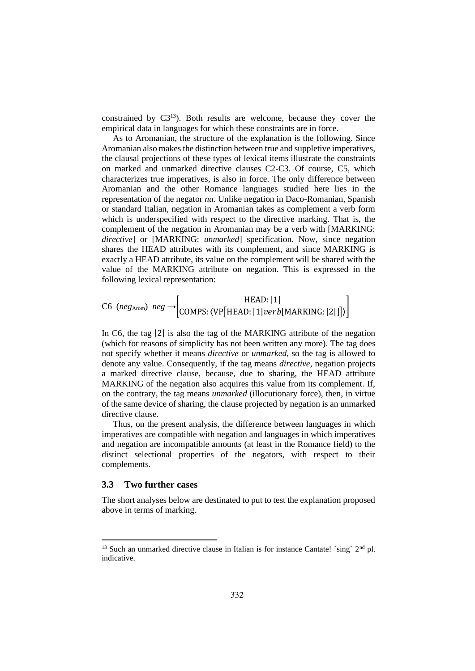constrained by C3<sup>13</sup>). Both results are welcome, because they cover the empirical data in languages for which these constraints are in force.

As to Aromanian, the structure of the explanation is the following. Since Aromanian also makes the distinction between true and suppletive imperatives, the clausal projections of these types of lexical items illustrate the constraints on marked and unmarked directive clauses C2-C3. Of course, C5, which characterizes true imperatives, is also in force. The only difference between Aromanian and the other Romance languages studied here lies in the representation of the negator *nu*. Unlike negation in Daco-Romanian, Spanish or standard Italian, negation in Aromanian takes as complement a verb form which is underspecified with respect to the directive marking. That is, the complement of the negation in Aromanian may be a verb with [MARKING: *directive*] or [MARKING: *unmarked*] specification. Now, since negation shares the HEAD attributes with its complement, and since MARKING is exactly a HEAD attribute, its value on the complement will be shared with the value of the MARKING attribute on negation. This is expressed in the following lexical representation:

$$
\text{C6} \text{ } (neg_{\text{Arom}}) \text{ } neg \rightarrow \text{[COMPS: (VP[HEAD: |1] verb[MARKING: |2]])} \text{]}
$$

In C6, the tag |2| is also the tag of the MARKING attribute of the negation (which for reasons of simplicity has not been written any more). The tag does not specify whether it means *directive* or *unmarked*, so the tag is allowed to denote any value. Consequently, if the tag means *directive*, negation projects a marked directive clause, because, due to sharing, the HEAD attribute MARKING of the negation also acquires this value from its complement. If, on the contrary, the tag means *unmarked* (illocutionary force), then, in virtue of the same device of sharing, the clause projected by negation is an unmarked directive clause.

Thus, on the present analysis, the difference between languages in which imperatives are compatible with negation and languages in which imperatives and negation are incompatible amounts (at least in the Romance field) to the distinct selectional properties of the negators, with respect to their complements.

## **3.3 Two further cases**

The short analyses below are destinated to put to test the explanation proposed above in terms of marking.

<sup>&</sup>lt;sup>13</sup> Such an unmarked directive clause in Italian is for instance Cantate! `sing`  $2<sup>nd</sup>$  pl. indicative.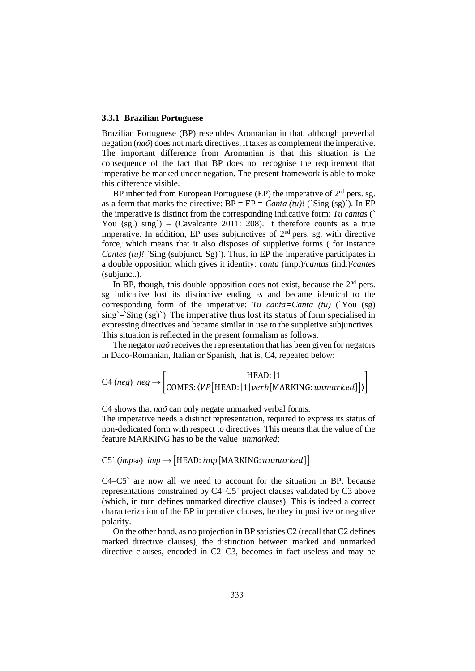#### **3.3.1 Brazilian Portuguese**

Brazilian Portuguese (BP) resembles Aromanian in that, although preverbal negation (*naõ*) does not mark directives, it takes as complement the imperative. The important difference from Aromanian is that this situation is the consequence of the fact that BP does not recognise the requirement that imperative be marked under negation. The present framework is able to make this difference visible.

BP inherited from European Portuguese (EP) the imperative of  $2<sup>nd</sup>$  pers. sg. as a form that marks the directive:  $BP = EP = \text{Canta (tu)!}$  (`Sing (sg)'). In EP the imperative is distinct from the corresponding indicative form: *Tu cantas* (` You  $(sg)$ ,  $sing$ ) – (Cavalcante 2011: 208). It therefore counts as a true imperative. In addition, EP uses subjunctives of  $2<sup>nd</sup>$  pers. sg. with directive force, which means that it also disposes of suppletive forms (for instance *Cantes (tu)!* `Sing (subjunct. Sg)`). Thus, in EP the imperative participates in a double opposition which gives it identity: *canta* (imp.)/*cantas* (ind.)/*cantes* (subjunct.).

In BP, though, this double opposition does not exist, because the  $2<sup>nd</sup>$  pers. sg indicative lost its distinctive ending *-s* and became identical to the corresponding form of the imperative: *Tu canta=Canta (tu)* (`You (sg)  $\sin g = \sin g (sg)$ . The imperative thus lost its status of form specialised in expressing directives and became similar in use to the suppletive subjunctives. This situation is reflected in the present formalism as follows.

The negator *naõ* receives the representation that has been given for negators in Daco-Romanian, Italian or Spanish, that is, C4, repeated below:

$$
C4 \ (neg) \ \ neg \rightarrow \begin{bmatrix} \text{HEAD}: |1| \\ \text{COMPS}: \langle VP[\text{HEAD}: |1| \text{verb[MARKING}: unmarked] \rangle \end{bmatrix}
$$

C4 shows that *naõ* can only negate unmarked verbal forms.

The imperative needs a distinct representation, required to express its status of non-dedicated form with respect to directives. This means that the value of the feature MARKING has to be the value *unmarked*:

## C5`  $(imp_{BP})$  *imp*  $\rightarrow$  [HEAD: *imp* [MARKING: *unmarked*]]

C4–C5` are now all we need to account for the situation in BP, because representations constrained by C4–C5` project clauses validated by C3 above (which, in turn defines unmarked directive clauses). This is indeed a correct characterization of the BP imperative clauses, be they in positive or negative polarity.

On the other hand, as no projection in BP satisfies C2 (recall that C2 defines marked directive clauses), the distinction between marked and unmarked directive clauses, encoded in C2–C3, becomes in fact useless and may be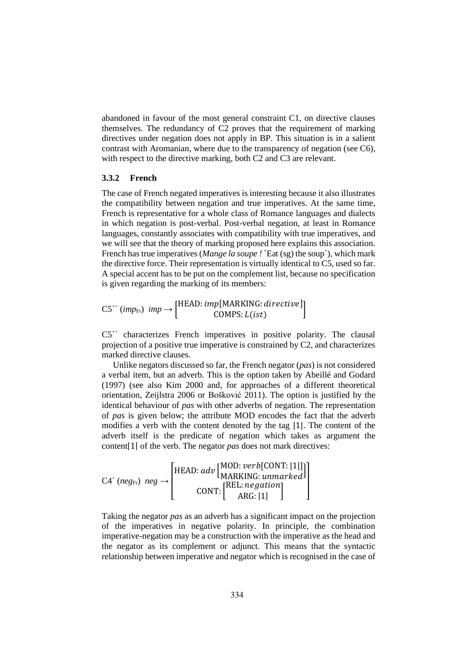abandoned in favour of the most general constraint C1, on directive clauses themselves. The redundancy of C2 proves that the requirement of marking directives under negation does not apply in BP. This situation is in a salient contrast with Aromanian, where due to the transparency of negation (see C6), with respect to the directive marking, both C2 and C3 are relevant.

#### **3.3.2 French**

The case of French negated imperatives is interesting because it also illustrates the compatibility between negation and true imperatives. At the same time, French is representative for a whole class of Romance languages and dialects in which negation is post-verbal. Post-verbal negation, at least in Romance languages, constantly associates with compatibility with true imperatives, and we will see that the theory of marking proposed here explains this association. French has true imperatives (*Mange la soupe !* `Eat (sg) the soup`), which mark the directive force. Their representation is virtually identical to C5, used so far. A special accent has to be put on the complement list, because no specification is given regarding the marking of its members:

 $CS^{\sim}(imp_{\text{Fr}})$  *imp*  $\rightarrow$  [HEAD: *imp*[MARKING: *directive*]  $\begin{bmatrix}$ COMPS:  $L(ist) \end{bmatrix}$ 

C5`` characterizes French imperatives in positive polarity. The clausal projection of a positive true imperative is constrained by C2, and characterizes marked directive clauses.

Unlike negators discussed so far, the French negator (*pas*) is not considered a verbal item, but an adverb. This is the option taken by Abeillé and Godard (1997) (see also Kim 2000 and, for approaches of a different theoretical orientation, Zeijlstra 2006 or Bošković 2011). The option is justified by the identical behaviour of *pas* with other adverbs of negation. The representation of *pas* is given below; the attribute MOD encodes the fact that the adverb modifies a verb with the content denoted by the tag |1|. The content of the adverb itself is the predicate of negation which takes as argument the content|1| of the verb. The negator *pas* does not mark directives:

| $C4$ ( <i>neg</i> <sub>Fr</sub> ) $neg \rightarrow$ | $\left[\text{HEAD:} \textit{adv}\left[\begin{matrix}\text{MOD:} \textit{verb}[\text{CONT:} \text{[1]}]\end{matrix}\right]\right]$<br>[REL: negation]<br>CONT:<br>ARG:11 |
|-----------------------------------------------------|-------------------------------------------------------------------------------------------------------------------------------------------------------------------------|
|-----------------------------------------------------|-------------------------------------------------------------------------------------------------------------------------------------------------------------------------|

Taking the negator *pas* as an adverb has a significant impact on the projection of the imperatives in negative polarity. In principle, the combination imperative-negation may be a construction with the imperative as the head and the negator as its complement or adjunct. This means that the syntactic relationship between imperative and negator which is recognised in the case of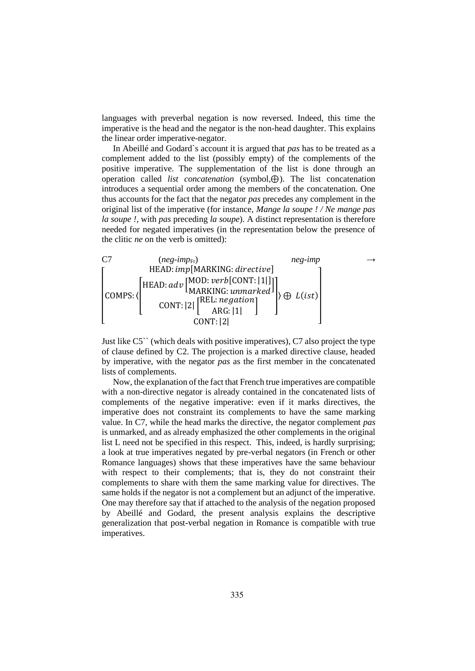languages with preverbal negation is now reversed. Indeed, this time the imperative is the head and the negator is the non-head daughter. This explains the linear order imperative-negator.

In Abeillé and Godard`s account it is argued that *pas* has to be treated as a complement added to the list (possibly empty) of the complements of the positive imperative. The supplementation of the list is done through an operation called *list concatenation* (symbol,⊕). The list concatenation introduces a sequential order among the members of the concatenation. One thus accounts for the fact that the negator *pas* precedes any complement in the original list of the imperative (for instance, *Mange la soupe ! / Ne mange pas la soupe !,* with *pas* preceding *la soupe*). A distinct representation is therefore needed for negated imperatives (in the representation below the presence of the clitic *ne* on the verb is omitted):



Just like C5`` (which deals with positive imperatives), C7 also project the type of clause defined by C2. The projection is a marked directive clause, headed by imperative, with the negator *pas* as the first member in the concatenated lists of complements.

Now, the explanation of the fact that French true imperatives are compatible with a non-directive negator is already contained in the concatenated lists of complements of the negative imperative: even if it marks directives, the imperative does not constraint its complements to have the same marking value. In C7, while the head marks the directive, the negator complement *pas* is unmarked, and as already emphasized the other complements in the original list L need not be specified in this respect. This, indeed, is hardly surprising; a look at true imperatives negated by pre-verbal negators (in French or other Romance languages) shows that these imperatives have the same behaviour with respect to their complements; that is, they do not constraint their complements to share with them the same marking value for directives. The same holds if the negator is not a complement but an adjunct of the imperative. One may therefore say that if attached to the analysis of the negation proposed by Abeillé and Godard, the present analysis explains the descriptive generalization that post-verbal negation in Romance is compatible with true imperatives.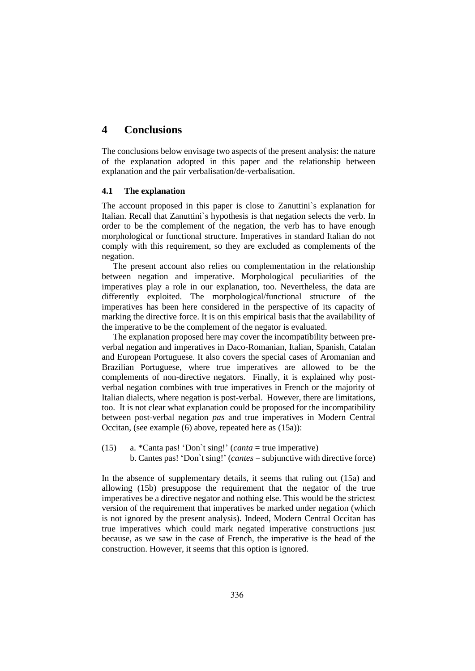# **4 Conclusions**

The conclusions below envisage two aspects of the present analysis: the nature of the explanation adopted in this paper and the relationship between explanation and the pair verbalisation/de-verbalisation.

## **4.1 The explanation**

The account proposed in this paper is close to Zanuttini`s explanation for Italian. Recall that Zanuttini`s hypothesis is that negation selects the verb. In order to be the complement of the negation, the verb has to have enough morphological or functional structure. Imperatives in standard Italian do not comply with this requirement, so they are excluded as complements of the negation.

The present account also relies on complementation in the relationship between negation and imperative. Morphological peculiarities of the imperatives play a role in our explanation, too. Nevertheless, the data are differently exploited. The morphological/functional structure of the imperatives has been here considered in the perspective of its capacity of marking the directive force. It is on this empirical basis that the availability of the imperative to be the complement of the negator is evaluated.

The explanation proposed here may cover the incompatibility between preverbal negation and imperatives in Daco-Romanian, Italian, Spanish, Catalan and European Portuguese. It also covers the special cases of Aromanian and Brazilian Portuguese, where true imperatives are allowed to be the complements of non-directive negators. Finally, it is explained why postverbal negation combines with true imperatives in French or the majority of Italian dialects, where negation is post-verbal. However, there are limitations, too. It is not clear what explanation could be proposed for the incompatibility between post-verbal negation *pas* and true imperatives in Modern Central Occitan, (see example (6) above, repeated here as (15a)):

(15) a. \*Canta pas! 'Don`t sing!' (*canta* = true imperative) b. Cantes pas! 'Don`t sing!' (*cantes* = subjunctive with directive force)

In the absence of supplementary details, it seems that ruling out (15a) and allowing (15b) presuppose the requirement that the negator of the true imperatives be a directive negator and nothing else. This would be the strictest version of the requirement that imperatives be marked under negation (which is not ignored by the present analysis). Indeed, Modern Central Occitan has true imperatives which could mark negated imperative constructions just because, as we saw in the case of French, the imperative is the head of the construction. However, it seems that this option is ignored.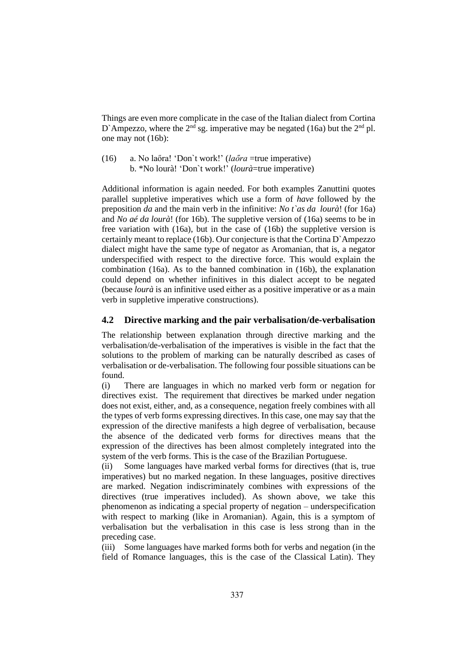Things are even more complicate in the case of the Italian dialect from Cortina D`Ampezzo, where the  $2<sup>nd</sup>$  sg. imperative may be negated (16a) but the  $2<sup>nd</sup>$  pl. one may not (16b):

(16) a. No laőra! 'Don`t work!' (*laőra* =true imperative) b. \*No lourà! 'Don`t work!' (*lourà*=true imperative)

Additional information is again needed. For both examples Zanuttini quotes parallel suppletive imperatives which use a form of *have* followed by the preposition *da* and the main verb in the infinitive: *No t`as da lourà*! (for 16a) and *No aé da lourà*! (for 16b). The suppletive version of (16a) seems to be in free variation with (16a), but in the case of (16b) the suppletive version is certainly meant to replace (16b). Our conjecture is that the Cortina D`Ampezzo dialect might have the same type of negator as Aromanian, that is, a negator underspecified with respect to the directive force. This would explain the combination (16a). As to the banned combination in (16b), the explanation could depend on whether infinitives in this dialect accept to be negated (because *lourà* is an infinitive used either as a positive imperative or as a main verb in suppletive imperative constructions).

## **4.2 Directive marking and the pair verbalisation/de-verbalisation**

The relationship between explanation through directive marking and the verbalisation/de-verbalisation of the imperatives is visible in the fact that the solutions to the problem of marking can be naturally described as cases of verbalisation or de-verbalisation. The following four possible situations can be found.

(i) There are languages in which no marked verb form or negation for directives exist. The requirement that directives be marked under negation does not exist, either, and, as a consequence, negation freely combines with all the types of verb forms expressing directives. In this case, one may say that the expression of the directive manifests a high degree of verbalisation, because the absence of the dedicated verb forms for directives means that the expression of the directives has been almost completely integrated into the system of the verb forms. This is the case of the Brazilian Portuguese.

(ii) Some languages have marked verbal forms for directives (that is, true imperatives) but no marked negation. In these languages, positive directives are marked. Negation indiscriminately combines with expressions of the directives (true imperatives included). As shown above, we take this phenomenon as indicating a special property of negation – underspecification with respect to marking (like in Aromanian). Again, this is a symptom of verbalisation but the verbalisation in this case is less strong than in the preceding case.

(iii) Some languages have marked forms both for verbs and negation (in the field of Romance languages, this is the case of the Classical Latin). They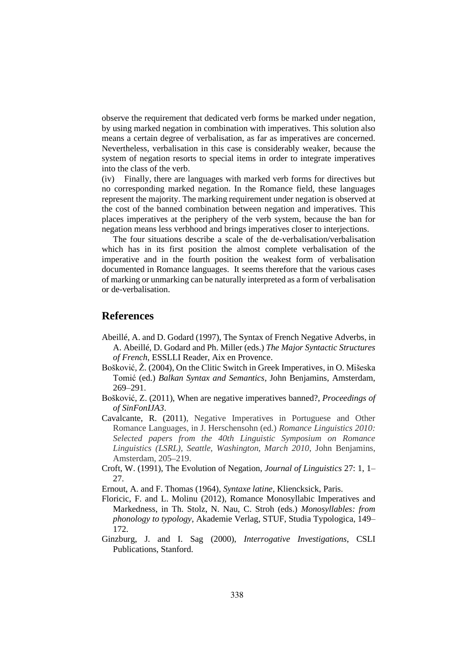observe the requirement that dedicated verb forms be marked under negation, by using marked negation in combination with imperatives. This solution also means a certain degree of verbalisation, as far as imperatives are concerned. Nevertheless, verbalisation in this case is considerably weaker, because the system of negation resorts to special items in order to integrate imperatives into the class of the verb.

(iv) Finally, there are languages with marked verb forms for directives but no corresponding marked negation. In the Romance field, these languages represent the majority. The marking requirement under negation is observed at the cost of the banned combination between negation and imperatives. This places imperatives at the periphery of the verb system, because the ban for negation means less verbhood and brings imperatives closer to interjections.

The four situations describe a scale of the de-verbalisation/verbalisation which has in its first position the almost complete verbalisation of the imperative and in the fourth position the weakest form of verbalisation documented in Romance languages. It seems therefore that the various cases of marking or unmarking can be naturally interpreted as a form of verbalisation or de-verbalisation.

## **References**

- Abeillé, A. and D. Godard (1997), The Syntax of French Negative Adverbs, in A. Abeillé, D. Godard and Ph. Miller (eds.) *The Major Syntactic Structures of French*, ESSLLI Reader, Aix en Provence.
- Bošković, Ž. (2004), On the Clitic Switch in Greek Imperatives, in O. Mišeska Tomić (ed.) *Balkan Syntax and Semantics*, John Benjamins, Amsterdam, 269–291.
- Bošković, Z. (2011), When are negative imperatives banned?, *Proceedings of of SinFonIJA3*.
- Cavalcante, R. (2011), Negative Imperatives in Portuguese and Other Romance Languages, in J. Herschensohn (ed.) *Romance Linguistics 2010: Selected papers from the 40th Linguistic Symposium on Romance Linguistics (LSRL), Seattle, Washington, March 2010*, John Benjamins, Amsterdam, 205–219.
- Croft, W. (1991), The Evolution of Negation, *Journal of Linguistics* 27: 1, 1– 27.
- Ernout, A. and F. Thomas (1964), *Syntaxe latine*, Kliencksick, Paris.
- Floricic, F. and L. Molinu (2012), Romance Monosyllabic Imperatives and Markedness, in Th. Stolz, N. Nau, C. Stroh (eds.) *Monosyllables: from phonology to typology*, Akademie Verlag, STUF, Studia Typologica, 149– 172.
- Ginzburg, J. and I. Sag (2000), *Interrogative Investigations*, CSLI Publications, Stanford.